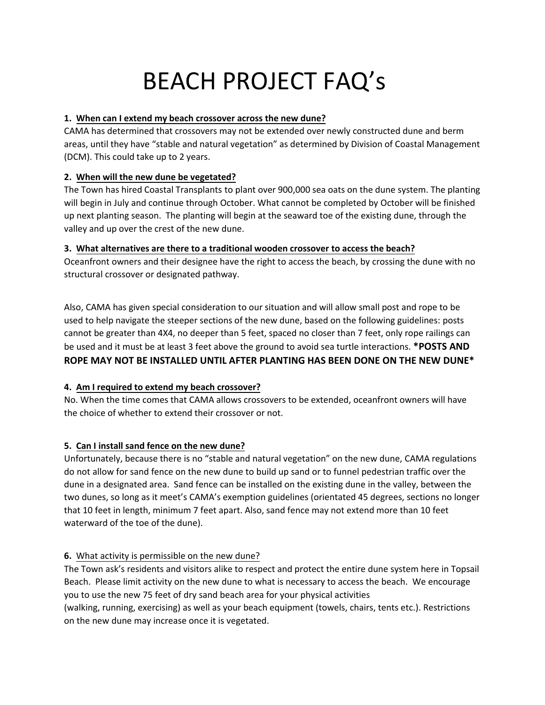# BEACH PROJECT FAQ's

## **1. When can I extend my beach crossover across the new dune?**

CAMA has determined that crossovers may not be extended over newly constructed dune and berm areas, until they have "stable and natural vegetation" as determined by Division of Coastal Management (DCM). This could take up to 2 years.

#### **2. When will the new dune be vegetated?**

The Town has hired Coastal Transplants to plant over 900,000 sea oats on the dune system. The planting will begin in July and continue through October. What cannot be completed by October will be finished up next planting season. The planting will begin at the seaward toe of the existing dune, through the valley and up over the crest of the new dune.

#### **3. What alternatives are there to a traditional wooden crossover to access the beach?**

Oceanfront owners and their designee have the right to access the beach, by crossing the dune with no structural crossover or designated pathway.

Also, CAMA has given special consideration to our situation and will allow small post and rope to be used to help navigate the steeper sections of the new dune, based on the following guidelines: posts cannot be greater than 4X4, no deeper than 5 feet, spaced no closer than 7 feet, only rope railings can be used and it must be at least 3 feet above the ground to avoid sea turtle interactions. **\*POSTS AND ROPE MAY NOT BE INSTALLED UNTIL AFTER PLANTING HAS BEEN DONE ON THE NEW DUNE\***

## **4. Am I required to extend my beach crossover?**

No. When the time comes that CAMA allows crossovers to be extended, oceanfront owners will have the choice of whether to extend their crossover or not.

## **5. Can I install sand fence on the new dune?**

Unfortunately, because there is no "stable and natural vegetation" on the new dune, CAMA regulations do not allow for sand fence on the new dune to build up sand or to funnel pedestrian traffic over the dune in a designated area. Sand fence can be installed on the existing dune in the valley, between the two dunes, so long as it meet's CAMA's exemption guidelines (orientated 45 degrees, sections no longer that 10 feet in length, minimum 7 feet apart. Also, sand fence may not extend more than 10 feet waterward of the toe of the dune).

## **6.** What activity is permissible on the new dune?

The Town ask's residents and visitors alike to respect and protect the entire dune system here in Topsail Beach. Please limit activity on the new dune to what is necessary to access the beach. We encourage you to use the new 75 feet of dry sand beach area for your physical activities

(walking, running, exercising) as well as your beach equipment (towels, chairs, tents etc.). Restrictions on the new dune may increase once it is vegetated.